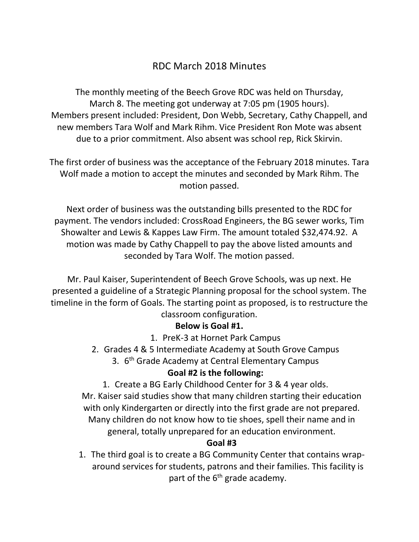# RDC March 2018 Minutes

The monthly meeting of the Beech Grove RDC was held on Thursday, March 8. The meeting got underway at 7:05 pm (1905 hours). Members present included: President, Don Webb, Secretary, Cathy Chappell, and new members Tara Wolf and Mark Rihm. Vice President Ron Mote was absent due to a prior commitment. Also absent was school rep, Rick Skirvin.

The first order of business was the acceptance of the February 2018 minutes. Tara Wolf made a motion to accept the minutes and seconded by Mark Rihm. The motion passed.

Next order of business was the outstanding bills presented to the RDC for payment. The vendors included: CrossRoad Engineers, the BG sewer works, Tim Showalter and Lewis & Kappes Law Firm. The amount totaled \$32,474.92. A motion was made by Cathy Chappell to pay the above listed amounts and seconded by Tara Wolf. The motion passed.

Mr. Paul Kaiser, Superintendent of Beech Grove Schools, was up next. He presented a guideline of a Strategic Planning proposal for the school system. The timeline in the form of Goals. The starting point as proposed, is to restructure the classroom configuration.

### **Below is Goal #1.**

- 1. PreK-3 at Hornet Park Campus
- 2. Grades 4 & 5 Intermediate Academy at South Grove Campus
	- 3. 6<sup>th</sup> Grade Academy at Central Elementary Campus

## **Goal #2 is the following:**

1. Create a BG Early Childhood Center for 3 & 4 year olds.

Mr. Kaiser said studies show that many children starting their education with only Kindergarten or directly into the first grade are not prepared. Many children do not know how to tie shoes, spell their name and in general, totally unprepared for an education environment.

### **Goal #3**

1. The third goal is to create a BG Community Center that contains wraparound services for students, patrons and their families. This facility is part of the  $6<sup>th</sup>$  grade academy.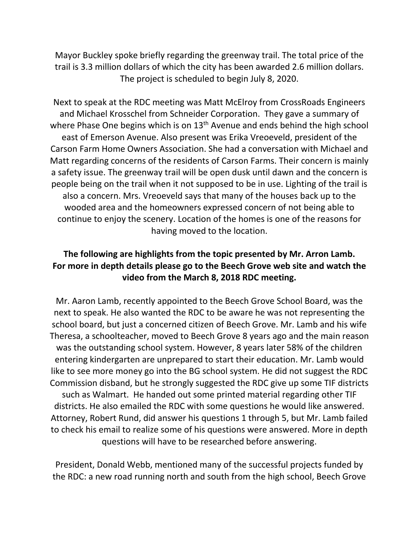Mayor Buckley spoke briefly regarding the greenway trail. The total price of the trail is 3.3 million dollars of which the city has been awarded 2.6 million dollars. The project is scheduled to begin July 8, 2020.

Next to speak at the RDC meeting was Matt McElroy from CrossRoads Engineers and Michael Krosschel from Schneider Corporation. They gave a summary of where Phase One begins which is on  $13<sup>th</sup>$  Avenue and ends behind the high school east of Emerson Avenue. Also present was Erika Vreoeveld, president of the Carson Farm Home Owners Association. She had a conversation with Michael and Matt regarding concerns of the residents of Carson Farms. Their concern is mainly a safety issue. The greenway trail will be open dusk until dawn and the concern is people being on the trail when it not supposed to be in use. Lighting of the trail is also a concern. Mrs. Vreoeveld says that many of the houses back up to the wooded area and the homeowners expressed concern of not being able to continue to enjoy the scenery. Location of the homes is one of the reasons for having moved to the location.

## **The following are highlights from the topic presented by Mr. Arron Lamb. For more in depth details please go to the Beech Grove web site and watch the video from the March 8, 2018 RDC meeting.**

Mr. Aaron Lamb, recently appointed to the Beech Grove School Board, was the next to speak. He also wanted the RDC to be aware he was not representing the school board, but just a concerned citizen of Beech Grove. Mr. Lamb and his wife Theresa, a schoolteacher, moved to Beech Grove 8 years ago and the main reason was the outstanding school system. However, 8 years later 58% of the children entering kindergarten are unprepared to start their education. Mr. Lamb would like to see more money go into the BG school system. He did not suggest the RDC Commission disband, but he strongly suggested the RDC give up some TIF districts such as Walmart. He handed out some printed material regarding other TIF districts. He also emailed the RDC with some questions he would like answered. Attorney, Robert Rund, did answer his questions 1 through 5, but Mr. Lamb failed to check his email to realize some of his questions were answered. More in depth questions will have to be researched before answering.

President, Donald Webb, mentioned many of the successful projects funded by the RDC: a new road running north and south from the high school, Beech Grove